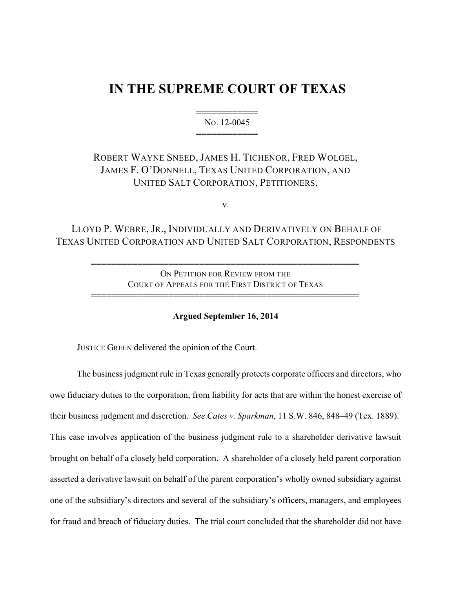# **IN THE SUPREME COURT OF TEXAS**

444444444444 NO. 12-0045 444444444444

ROBERT WAYNE SNEED, JAMES H. TICHENOR, FRED WOLGEL, JAMES F. O'DONNELL, TEXAS UNITED CORPORATION, AND UNITED SALT CORPORATION, PETITIONERS,

v.

LLOYD P. WEBRE, JR., INDIVIDUALLY AND DERIVATIVELY ON BEHALF OF TEXAS UNITED CORPORATION AND UNITED SALT CORPORATION, RESPONDENTS

> ON PETITION FOR REVIEW FROM THE COURT OF APPEALS FOR THE FIRST DISTRICT OF TEXAS

4444444444444444444444444444444444444444444444444444

4444444444444444444444444444444444444444444444444444

**Argued September 16, 2014**

JUSTICE GREEN delivered the opinion of the Court.

The business judgment rule in Texas generally protects corporate officers and directors, who owe fiduciary duties to the corporation, from liability for acts that are within the honest exercise of their business judgment and discretion. *See Cates v. Sparkman*, 11 S.W. 846, 848–49 (Tex. 1889). This case involves application of the business judgment rule to a shareholder derivative lawsuit brought on behalf of a closely held corporation. A shareholder of a closely held parent corporation asserted a derivative lawsuit on behalf of the parent corporation's wholly owned subsidiary against one of the subsidiary's directors and several of the subsidiary's officers, managers, and employees for fraud and breach of fiduciary duties. The trial court concluded that the shareholder did not have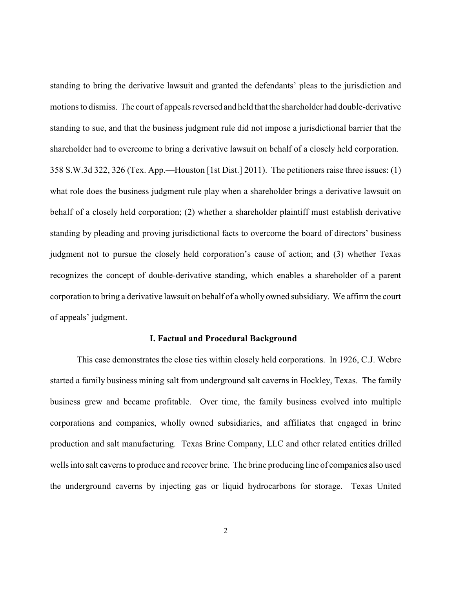standing to bring the derivative lawsuit and granted the defendants' pleas to the jurisdiction and motions to dismiss. The court of appeals reversed and held that the shareholder had double-derivative standing to sue, and that the business judgment rule did not impose a jurisdictional barrier that the shareholder had to overcome to bring a derivative lawsuit on behalf of a closely held corporation. 358 S.W.3d 322, 326 (Tex. App.—Houston [1st Dist.] 2011). The petitioners raise three issues: (1) what role does the business judgment rule play when a shareholder brings a derivative lawsuit on behalf of a closely held corporation; (2) whether a shareholder plaintiff must establish derivative standing by pleading and proving jurisdictional facts to overcome the board of directors' business judgment not to pursue the closely held corporation's cause of action; and (3) whether Texas recognizes the concept of double-derivative standing, which enables a shareholder of a parent corporation to bring a derivative lawsuit on behalf of a wholly owned subsidiary. We affirm the court of appeals' judgment.

#### **I. Factual and Procedural Background**

This case demonstrates the close ties within closely held corporations. In 1926, C.J. Webre started a family business mining salt from underground salt caverns in Hockley, Texas. The family business grew and became profitable. Over time, the family business evolved into multiple corporations and companies, wholly owned subsidiaries, and affiliates that engaged in brine production and salt manufacturing. Texas Brine Company, LLC and other related entities drilled wells into salt caverns to produce and recover brine. The brine producing line of companies also used the underground caverns by injecting gas or liquid hydrocarbons for storage. Texas United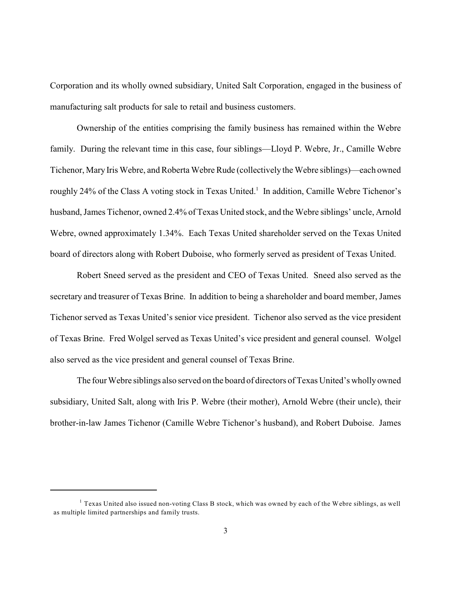Corporation and its wholly owned subsidiary, United Salt Corporation, engaged in the business of manufacturing salt products for sale to retail and business customers.

Ownership of the entities comprising the family business has remained within the Webre family. During the relevant time in this case, four siblings—Lloyd P. Webre, Jr., Camille Webre Tichenor, Mary Iris Webre, and Roberta Webre Rude (collectively the Webre siblings)—each owned roughly 24% of the Class A voting stock in Texas United.<sup>1</sup> In addition, Camille Webre Tichenor's husband, James Tichenor, owned 2.4% of Texas United stock, and the Webre siblings' uncle, Arnold Webre, owned approximately 1.34%. Each Texas United shareholder served on the Texas United board of directors along with Robert Duboise, who formerly served as president of Texas United.

Robert Sneed served as the president and CEO of Texas United. Sneed also served as the secretary and treasurer of Texas Brine. In addition to being a shareholder and board member, James Tichenor served as Texas United's senior vice president. Tichenor also served as the vice president of Texas Brine. Fred Wolgel served as Texas United's vice president and general counsel. Wolgel also served as the vice president and general counsel of Texas Brine.

The four Webre siblings also served on the board of directors of Texas United's wholly owned subsidiary, United Salt, along with Iris P. Webre (their mother), Arnold Webre (their uncle), their brother-in-law James Tichenor (Camille Webre Tichenor's husband), and Robert Duboise. James

<sup>&</sup>lt;sup>1</sup> Texas United also issued non-voting Class B stock, which was owned by each of the Webre siblings, as well as multiple limited partnerships and family trusts.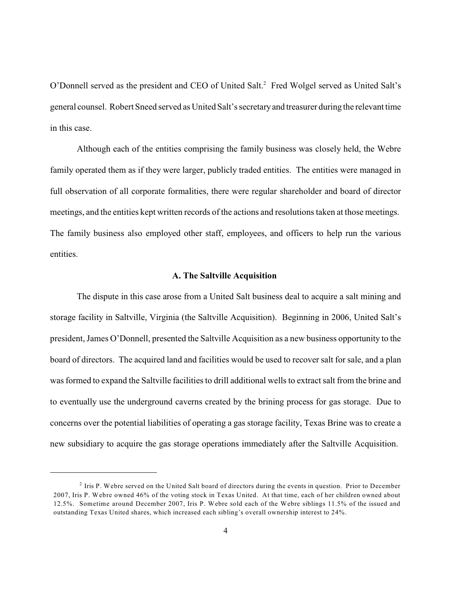O'Donnell served as the president and CEO of United Salt.<sup>2</sup> Fred Wolgel served as United Salt's general counsel. Robert Sneed served as United Salt's secretaryand treasurer during the relevant time in this case.

Although each of the entities comprising the family business was closely held, the Webre family operated them as if they were larger, publicly traded entities. The entities were managed in full observation of all corporate formalities, there were regular shareholder and board of director meetings, and the entities kept written records of the actions and resolutions taken at those meetings. The family business also employed other staff, employees, and officers to help run the various entities.

#### **A. The Saltville Acquisition**

The dispute in this case arose from a United Salt business deal to acquire a salt mining and storage facility in Saltville, Virginia (the Saltville Acquisition). Beginning in 2006, United Salt's president, James O'Donnell, presented the Saltville Acquisition as a new business opportunity to the board of directors. The acquired land and facilities would be used to recover salt for sale, and a plan was formed to expand the Saltville facilities to drill additional wells to extract salt from the brine and to eventually use the underground caverns created by the brining process for gas storage. Due to concerns over the potential liabilities of operating a gas storage facility, Texas Brine was to create a new subsidiary to acquire the gas storage operations immediately after the Saltville Acquisition.

 $2$  Iris P. Webre served on the United Salt board of directors during the events in question. Prior to December 2007, Iris P. Webre owned 46% of the voting stock in Texas United. At that time, each of her children owned about 12.5%. Sometime around December 2007, Iris P. Webre sold each of the Webre siblings 11.5% of the issued and outstanding Texas United shares, which increased each sibling's overall ownership interest to 24%.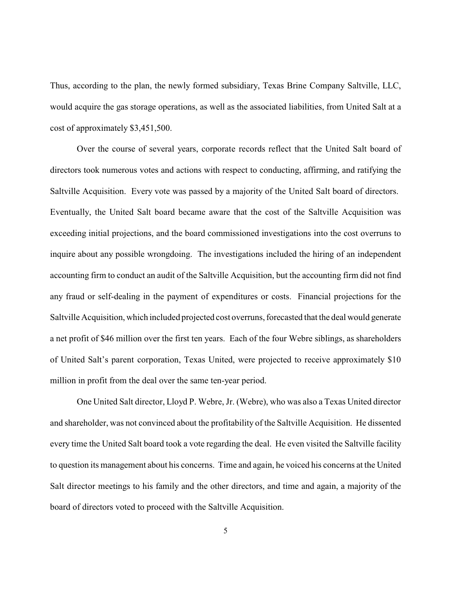Thus, according to the plan, the newly formed subsidiary, Texas Brine Company Saltville, LLC, would acquire the gas storage operations, as well as the associated liabilities, from United Salt at a cost of approximately \$3,451,500.

Over the course of several years, corporate records reflect that the United Salt board of directors took numerous votes and actions with respect to conducting, affirming, and ratifying the Saltville Acquisition. Every vote was passed by a majority of the United Salt board of directors. Eventually, the United Salt board became aware that the cost of the Saltville Acquisition was exceeding initial projections, and the board commissioned investigations into the cost overruns to inquire about any possible wrongdoing. The investigations included the hiring of an independent accounting firm to conduct an audit of the Saltville Acquisition, but the accounting firm did not find any fraud or self-dealing in the payment of expenditures or costs. Financial projections for the Saltville Acquisition, which included projected cost overruns, forecasted that the deal would generate a net profit of \$46 million over the first ten years. Each of the four Webre siblings, as shareholders of United Salt's parent corporation, Texas United, were projected to receive approximately \$10 million in profit from the deal over the same ten-year period.

One United Salt director, Lloyd P. Webre, Jr. (Webre), who was also a Texas United director and shareholder, was not convinced about the profitability of the Saltville Acquisition. He dissented every time the United Salt board took a vote regarding the deal. He even visited the Saltville facility to question its management about his concerns. Time and again, he voiced his concerns at the United Salt director meetings to his family and the other directors, and time and again, a majority of the board of directors voted to proceed with the Saltville Acquisition.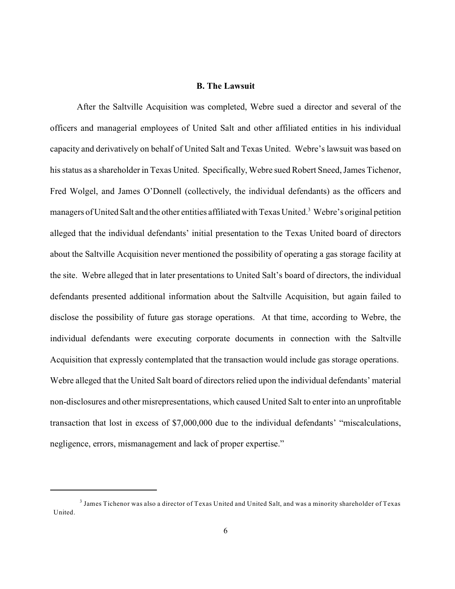# **B. The Lawsuit**

After the Saltville Acquisition was completed, Webre sued a director and several of the officers and managerial employees of United Salt and other affiliated entities in his individual capacity and derivatively on behalf of United Salt and Texas United. Webre's lawsuit was based on his status as a shareholder in Texas United. Specifically, Webre sued Robert Sneed, James Tichenor, Fred Wolgel, and James O'Donnell (collectively, the individual defendants) as the officers and managers of United Salt and the other entities affiliated with Texas United.<sup>3</sup> Webre's original petition alleged that the individual defendants' initial presentation to the Texas United board of directors about the Saltville Acquisition never mentioned the possibility of operating a gas storage facility at the site. Webre alleged that in later presentations to United Salt's board of directors, the individual defendants presented additional information about the Saltville Acquisition, but again failed to disclose the possibility of future gas storage operations. At that time, according to Webre, the individual defendants were executing corporate documents in connection with the Saltville Acquisition that expressly contemplated that the transaction would include gas storage operations. Webre alleged that the United Salt board of directors relied upon the individual defendants' material non-disclosures and other misrepresentations, which caused United Salt to enter into an unprofitable transaction that lost in excess of \$7,000,000 due to the individual defendants' "miscalculations, negligence, errors, mismanagement and lack of proper expertise."

 $^3$  James Tichenor was also a director of Texas United and United Salt, and was a minority shareholder of Texas United.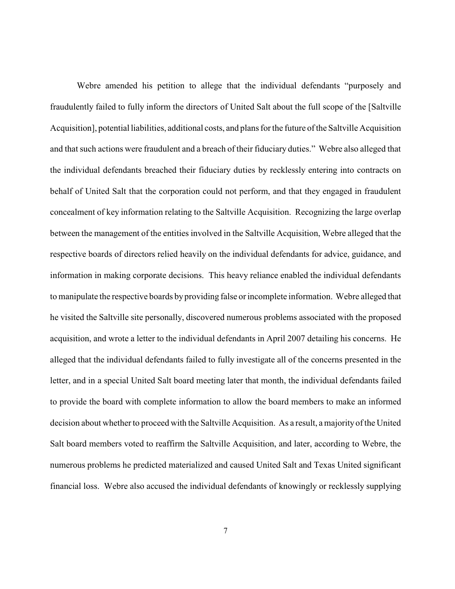Webre amended his petition to allege that the individual defendants "purposely and fraudulently failed to fully inform the directors of United Salt about the full scope of the [Saltville Acquisition], potential liabilities, additional costs, and plans for the future of the Saltville Acquisition and that such actions were fraudulent and a breach of their fiduciary duties." Webre also alleged that the individual defendants breached their fiduciary duties by recklessly entering into contracts on behalf of United Salt that the corporation could not perform, and that they engaged in fraudulent concealment of key information relating to the Saltville Acquisition. Recognizing the large overlap between the management of the entities involved in the Saltville Acquisition, Webre alleged that the respective boards of directors relied heavily on the individual defendants for advice, guidance, and information in making corporate decisions. This heavy reliance enabled the individual defendants to manipulate the respective boards by providing false or incomplete information. Webre alleged that he visited the Saltville site personally, discovered numerous problems associated with the proposed acquisition, and wrote a letter to the individual defendants in April 2007 detailing his concerns. He alleged that the individual defendants failed to fully investigate all of the concerns presented in the letter, and in a special United Salt board meeting later that month, the individual defendants failed to provide the board with complete information to allow the board members to make an informed decision about whether to proceed with the Saltville Acquisition. As a result, a majority of the United Salt board members voted to reaffirm the Saltville Acquisition, and later, according to Webre, the numerous problems he predicted materialized and caused United Salt and Texas United significant financial loss. Webre also accused the individual defendants of knowingly or recklessly supplying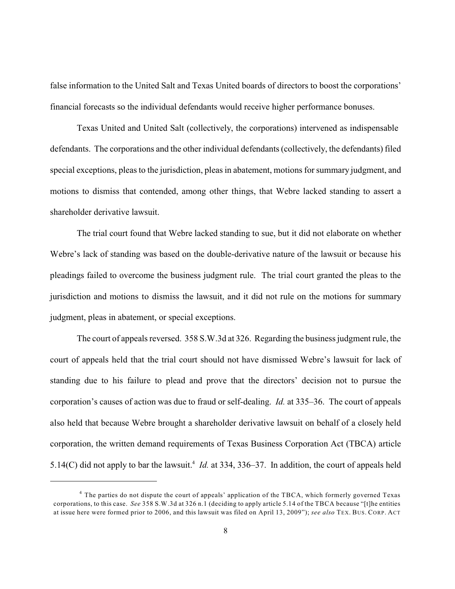false information to the United Salt and Texas United boards of directors to boost the corporations' financial forecasts so the individual defendants would receive higher performance bonuses.

Texas United and United Salt (collectively, the corporations) intervened as indispensable defendants. The corporations and the other individual defendants (collectively, the defendants) filed special exceptions, pleas to the jurisdiction, pleas in abatement, motions for summary judgment, and motions to dismiss that contended, among other things, that Webre lacked standing to assert a shareholder derivative lawsuit.

The trial court found that Webre lacked standing to sue, but it did not elaborate on whether Webre's lack of standing was based on the double-derivative nature of the lawsuit or because his pleadings failed to overcome the business judgment rule. The trial court granted the pleas to the jurisdiction and motions to dismiss the lawsuit, and it did not rule on the motions for summary judgment, pleas in abatement, or special exceptions.

The court of appeals reversed. 358 S.W.3d at 326. Regarding the business judgment rule, the court of appeals held that the trial court should not have dismissed Webre's lawsuit for lack of standing due to his failure to plead and prove that the directors' decision not to pursue the corporation's causes of action was due to fraud or self-dealing. *Id.* at 335–36. The court of appeals also held that because Webre brought a shareholder derivative lawsuit on behalf of a closely held corporation, the written demand requirements of Texas Business Corporation Act (TBCA) article 5.14(C) did not apply to bar the lawsuit.<sup>4</sup> *Id.* at 334, 336–37. In addition, the court of appeals held

 $4$  The parties do not dispute the court of appeals' application of the TBCA, which formerly governed Texas corporations, to this case. *See* 358 S.W.3d at 326 n.1 (deciding to apply article 5.14 of the TBCA because "[t]he entities at issue here were formed prior to 2006, and this lawsuit was filed on April 13, 2009"); *see also* TEX. BUS. CORP. ACT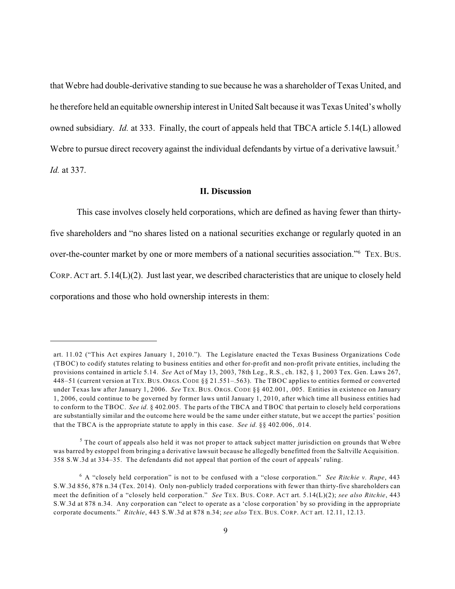that Webre had double-derivative standing to sue because he was a shareholder of Texas United, and he therefore held an equitable ownership interest in United Salt because it was Texas United's wholly owned subsidiary. *Id.* at 333. Finally, the court of appeals held that TBCA article 5.14(L) allowed Webre to pursue direct recovery against the individual defendants by virtue of a derivative lawsuit.<sup>5</sup> *Id.* at 337.

#### **II. Discussion**

This case involves closely held corporations, which are defined as having fewer than thirtyfive shareholders and "no shares listed on a national securities exchange or regularly quoted in an over-the-counter market by one or more members of a national securities association."<sup>6</sup> TEX. BUS. CORP. ACT art. 5.14(L)(2). Just last year, we described characteristics that are unique to closely held corporations and those who hold ownership interests in them:

art. 11.02 ("This Act expires January 1, 2010."). The Legislature enacted the Texas Business Organizations Code (TBOC) to codify statutes relating to business entities and other for-profit and non-profit private entities, including the provisions contained in article 5.14. *See* Act of May 13, 2003, 78th Leg., R.S., ch. 182, § 1, 2003 Tex. Gen. Laws 267, 448–51 (current version at TEX. BUS. ORGS. CODE §§ 21.551–.563). The TBOC applies to entities formed or converted under Texas law after January 1, 2006. *See* TEX. BUS. ORGS. CODE §§ 402.001, .005. Entities in existence on January 1, 2006, could continue to be governed by former laws until January 1, 2010, after which time all business entities had to conform to the TBOC. *See id.* § 402.005. The parts of the TBCA and TBOC that pertain to closely held corporations are substantially similar and the outcome here would be the same under either statute, but we accept the parties' position that the TBCA is the appropriate statute to apply in this case. *See id.* §§ 402.006, .014.

 $5$  The court of appeals also held it was not proper to attack subject matter jurisdiction on grounds that Webre was barred by estoppel from bringing a derivative lawsuit because he allegedly benefitted from the Saltville Acquisition. 358 S.W.3d at 334–35. The defendants did not appeal that portion of the court of appeals' ruling.

A "closely held corporation" is not to be confused with a "close corporation." *See Ritchie v. Rupe*, 443 6 S.W.3d 856, 878 n.34 (Tex. 2014). Only non-publicly traded corporations with fewer than thirty-five shareholders can meet the definition of a "closely held corporation." *See* TEX. BUS. CORP. ACT art. 5.14(L)(2); *see also Ritchie*, 443 S.W.3d at 878 n.34. Any corporation can "elect to operate as a 'close corporation' by so providing in the appropriate corporate documents." *Ritchie*, 443 S.W.3d at 878 n.34; *see also* TEX. BUS. CORP. ACT art. 12.11, 12.13.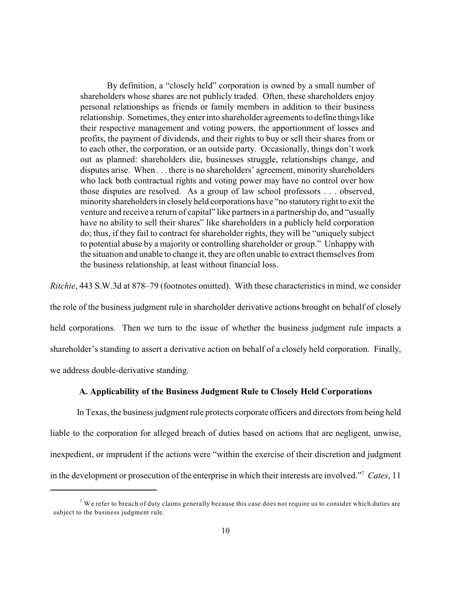By definition, a "closely held" corporation is owned by a small number of shareholders whose shares are not publicly traded. Often, these shareholders enjoy personal relationships as friends or family members in addition to their business relationship. Sometimes, theyenterinto shareholder agreements to define things like their respective management and voting powers, the apportionment of losses and profits, the payment of dividends, and their rights to buy or sell their shares from or to each other, the corporation, or an outside party. Occasionally, things don't work out as planned: shareholders die, businesses struggle, relationships change, and disputes arise. When . . . there is no shareholders' agreement, minority shareholders who lack both contractual rights and voting power may have no control over how those disputes are resolved. As a group of law school professors . . . observed, minority shareholders in closely held corporations have "no statutory right to exit the venture and receive a return of capital" like partners in a partnership do, and "usually have no ability to sell their shares" like shareholders in a publicly held corporation do; thus, if they fail to contract for shareholder rights, they will be "uniquely subject to potential abuse by a majority or controlling shareholder or group." Unhappy with the situation and unable to change it, they are often unable to extract themselves from the business relationship, at least without financial loss.

*Ritchie*, 443 S.W.3d at 878–79 (footnotes omitted). With these characteristics in mind, we consider the role of the business judgment rule in shareholder derivative actions brought on behalf of closely held corporations. Then we turn to the issue of whether the business judgment rule impacts a shareholder's standing to assert a derivative action on behalf of a closely held corporation. Finally, we address double-derivative standing.

## **A. Applicability of the Business Judgment Rule to Closely Held Corporations**

In Texas, the business judgment rule protects corporate officers and directors from being held liable to the corporation for alleged breach of duties based on actions that are negligent, unwise, inexpedient, or imprudent if the actions were "within the exercise of their discretion and judgment in the development or prosecution of the enterprise in which their interests are involved."<sup>7</sup> Cates, 11

 $^7$  We refer to breach of duty claims generally because this case does not require us to consider which duties are subject to the business judgment rule.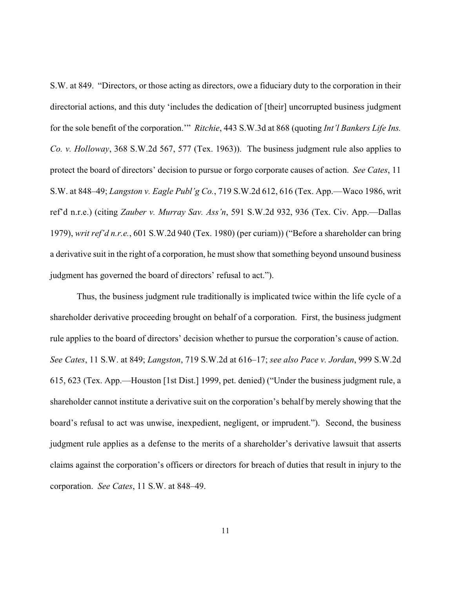S.W. at 849. "Directors, or those acting as directors, owe a fiduciary duty to the corporation in their directorial actions, and this duty 'includes the dedication of [their] uncorrupted business judgment for the sole benefit of the corporation.'" *Ritchie*, 443 S.W.3d at 868 (quoting *Int'l Bankers Life Ins. Co. v. Holloway*, 368 S.W.2d 567, 577 (Tex. 1963)). The business judgment rule also applies to protect the board of directors' decision to pursue or forgo corporate causes of action. *See Cates*, 11 S.W. at 848–49; *Langston v. Eagle Publ'g Co.*, 719 S.W.2d 612, 616 (Tex. App.—Waco 1986, writ ref'd n.r.e.) (citing *Zauber v. Murray Sav. Ass'n*, 591 S.W.2d 932, 936 (Tex. Civ. App.—Dallas 1979), *writ ref'd n.r.e.*, 601 S.W.2d 940 (Tex. 1980) (per curiam)) ("Before a shareholder can bring a derivative suit in the right of a corporation, he must show that something beyond unsound business judgment has governed the board of directors' refusal to act.").

Thus, the business judgment rule traditionally is implicated twice within the life cycle of a shareholder derivative proceeding brought on behalf of a corporation. First, the business judgment rule applies to the board of directors' decision whether to pursue the corporation's cause of action. *See Cates*, 11 S.W. at 849; *Langston*, 719 S.W.2d at 616–17; *see also Pace v. Jordan*, 999 S.W.2d 615, 623 (Tex. App.—Houston [1st Dist.] 1999, pet. denied) ("Under the business judgment rule, a shareholder cannot institute a derivative suit on the corporation's behalf by merely showing that the board's refusal to act was unwise, inexpedient, negligent, or imprudent."). Second, the business judgment rule applies as a defense to the merits of a shareholder's derivative lawsuit that asserts claims against the corporation's officers or directors for breach of duties that result in injury to the corporation. *See Cates*, 11 S.W. at 848–49.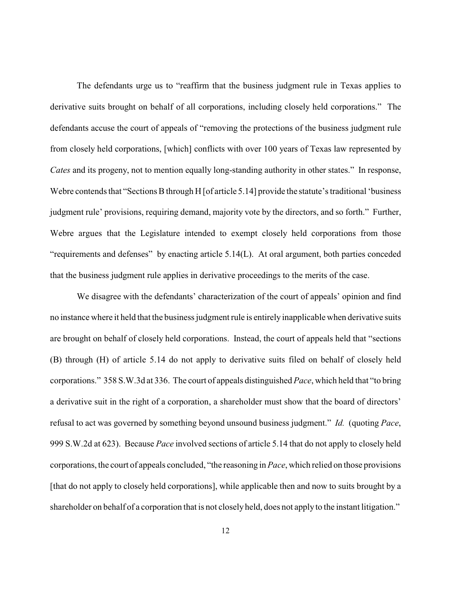The defendants urge us to "reaffirm that the business judgment rule in Texas applies to derivative suits brought on behalf of all corporations, including closely held corporations." The defendants accuse the court of appeals of "removing the protections of the business judgment rule from closely held corporations, [which] conflicts with over 100 years of Texas law represented by *Cates* and its progeny, not to mention equally long-standing authority in other states." In response, Webre contends that "Sections B through H [of article 5.14] provide the statute's traditional 'business judgment rule' provisions, requiring demand, majority vote by the directors, and so forth." Further, Webre argues that the Legislature intended to exempt closely held corporations from those "requirements and defenses" by enacting article 5.14(L). At oral argument, both parties conceded that the business judgment rule applies in derivative proceedings to the merits of the case.

We disagree with the defendants' characterization of the court of appeals' opinion and find no instance where it held that the business judgment rule is entirely inapplicable when derivative suits are brought on behalf of closely held corporations. Instead, the court of appeals held that "sections (B) through (H) of article 5.14 do not apply to derivative suits filed on behalf of closely held corporations." 358 S.W.3d at 336. The court of appeals distinguished *Pace*, which held that "to bring a derivative suit in the right of a corporation, a shareholder must show that the board of directors' refusal to act was governed by something beyond unsound business judgment." *Id.* (quoting *Pace*, 999 S.W.2d at 623). Because *Pace* involved sections of article 5.14 that do not apply to closely held corporations, the court of appeals concluded, "the reasoning in *Pace*, which relied on those provisions [that do not apply to closely held corporations], while applicable then and now to suits brought by a shareholder on behalf of a corporation that is not closely held, does not apply to the instant litigation."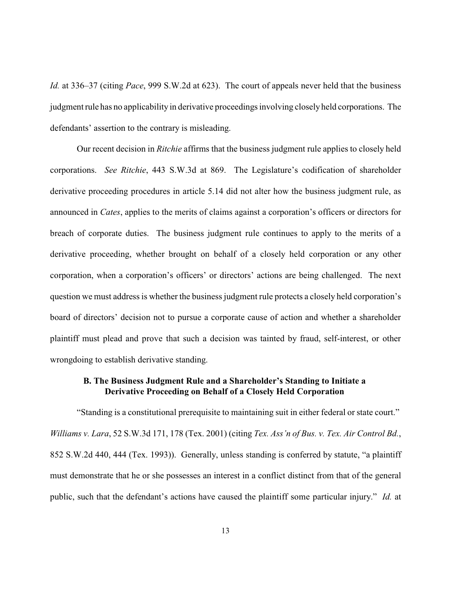*Id.* at 336–37 (citing *Pace*, 999 S.W.2d at 623). The court of appeals never held that the business judgment rule has no applicability in derivative proceedings involving closely held corporations. The defendants' assertion to the contrary is misleading.

Our recent decision in *Ritchie* affirms that the business judgment rule applies to closely held corporations. *See Ritchie*, 443 S.W.3d at 869. The Legislature's codification of shareholder derivative proceeding procedures in article 5.14 did not alter how the business judgment rule, as announced in *Cates*, applies to the merits of claims against a corporation's officers or directors for breach of corporate duties. The business judgment rule continues to apply to the merits of a derivative proceeding, whether brought on behalf of a closely held corporation or any other corporation, when a corporation's officers' or directors' actions are being challenged. The next question we must address is whether the business judgment rule protects a closely held corporation's board of directors' decision not to pursue a corporate cause of action and whether a shareholder plaintiff must plead and prove that such a decision was tainted by fraud, self-interest, or other wrongdoing to establish derivative standing.

# **B. The Business Judgment Rule and a Shareholder's Standing to Initiate a Derivative Proceeding on Behalf of a Closely Held Corporation**

"Standing is a constitutional prerequisite to maintaining suit in either federal or state court." *Williams v. Lara*, 52 S.W.3d 171, 178 (Tex. 2001) (citing *Tex. Ass'n of Bus. v. Tex. Air Control Bd.*, 852 S.W.2d 440, 444 (Tex. 1993)). Generally, unless standing is conferred by statute, "a plaintiff must demonstrate that he or she possesses an interest in a conflict distinct from that of the general public, such that the defendant's actions have caused the plaintiff some particular injury." *Id.* at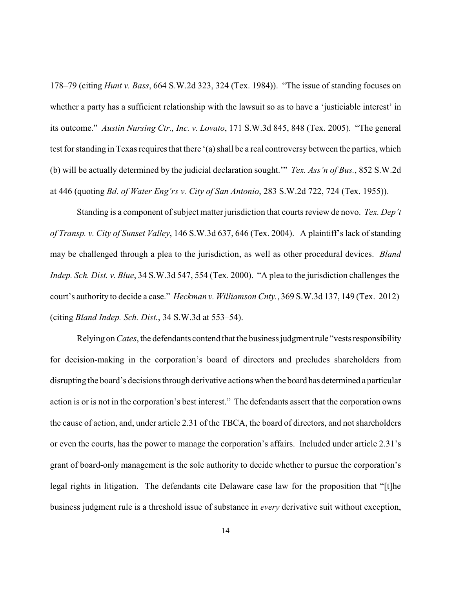178–79 (citing *Hunt v. Bass*, 664 S.W.2d 323, 324 (Tex. 1984)). "The issue of standing focuses on whether a party has a sufficient relationship with the lawsuit so as to have a 'justiciable interest' in its outcome." *Austin Nursing Ctr., Inc. v. Lovato*, 171 S.W.3d 845, 848 (Tex. 2005). "The general test for standing in Texas requires that there '(a) shall be a real controversy between the parties, which (b) will be actually determined by the judicial declaration sought.'" *Tex. Ass'n of Bus.*, 852 S.W.2d at 446 (quoting *Bd. of Water Eng'rs v. City of San Antonio*, 283 S.W.2d 722, 724 (Tex. 1955)).

Standing is a component of subject matter jurisdiction that courts review de novo. *Tex. Dep't of Transp. v. City of Sunset Valley*, 146 S.W.3d 637, 646 (Tex. 2004). A plaintiff's lack of standing may be challenged through a plea to the jurisdiction, as well as other procedural devices. *Bland Indep. Sch. Dist. v. Blue*, 34 S.W.3d 547, 554 (Tex. 2000). "A plea to the jurisdiction challenges the court's authority to decide a case." *Heckman v. Williamson Cnty.*, 369 S.W.3d 137, 149 (Tex. 2012) (citing *Bland Indep. Sch. Dist.*, 34 S.W.3d at 553–54).

Relying on *Cates*, the defendants contend that the business judgment rule "vests responsibility for decision-making in the corporation's board of directors and precludes shareholders from disrupting the board's decisions through derivative actions when the board has determined a particular action is or is not in the corporation's best interest." The defendants assert that the corporation owns the cause of action, and, under article 2.31 of the TBCA, the board of directors, and not shareholders or even the courts, has the power to manage the corporation's affairs. Included under article 2.31's grant of board-only management is the sole authority to decide whether to pursue the corporation's legal rights in litigation. The defendants cite Delaware case law for the proposition that "[t]he business judgment rule is a threshold issue of substance in *every* derivative suit without exception,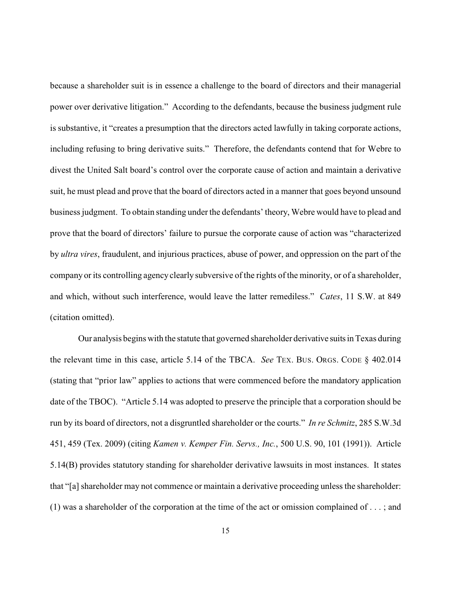because a shareholder suit is in essence a challenge to the board of directors and their managerial power over derivative litigation." According to the defendants, because the business judgment rule is substantive, it "creates a presumption that the directors acted lawfully in taking corporate actions, including refusing to bring derivative suits." Therefore, the defendants contend that for Webre to divest the United Salt board's control over the corporate cause of action and maintain a derivative suit, he must plead and prove that the board of directors acted in a manner that goes beyond unsound business judgment. To obtain standing under the defendants' theory, Webre would have to plead and prove that the board of directors' failure to pursue the corporate cause of action was "characterized by *ultra vires*, fraudulent, and injurious practices, abuse of power, and oppression on the part of the company or its controlling agency clearly subversive of the rights of the minority, or of a shareholder, and which, without such interference, would leave the latter remediless." *Cates*, 11 S.W. at 849 (citation omitted).

Our analysis begins with the statute that governed shareholder derivative suitsin Texas during the relevant time in this case, article 5.14 of the TBCA. *See* TEX. BUS. ORGS. CODE § 402.014 (stating that "prior law" applies to actions that were commenced before the mandatory application date of the TBOC). "Article 5.14 was adopted to preserve the principle that a corporation should be run by its board of directors, not a disgruntled shareholder or the courts." *In re Schmitz*, 285 S.W.3d 451, 459 (Tex. 2009) (citing *Kamen v. Kemper Fin. Servs., Inc.*, 500 U.S. 90, 101 (1991)). Article 5.14(B) provides statutory standing for shareholder derivative lawsuits in most instances. It states that "[a] shareholder may not commence or maintain a derivative proceeding unless the shareholder: (1) was a shareholder of the corporation at the time of the act or omission complained of . . . ; and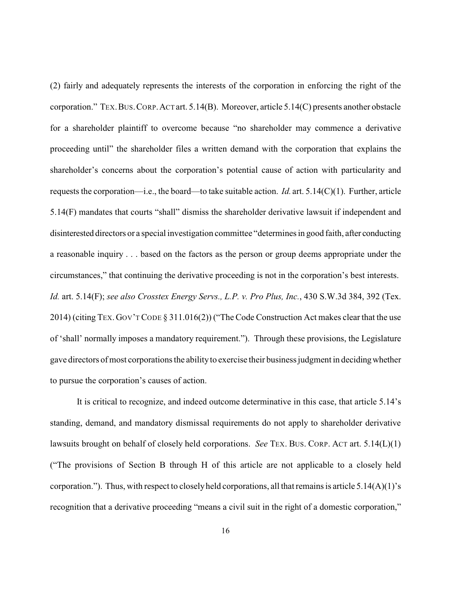(2) fairly and adequately represents the interests of the corporation in enforcing the right of the corporation." TEX.BUS.CORP.ACT art. 5.14(B). Moreover, article 5.14(C) presents another obstacle for a shareholder plaintiff to overcome because "no shareholder may commence a derivative proceeding until" the shareholder files a written demand with the corporation that explains the shareholder's concerns about the corporation's potential cause of action with particularity and requests the corporation—i.e., the board—to take suitable action. *Id.* art. 5.14(C)(1). Further, article 5.14(F) mandates that courts "shall" dismiss the shareholder derivative lawsuit if independent and disinterested directors or a special investigation committee "determines in good faith, after conducting a reasonable inquiry . . . based on the factors as the person or group deems appropriate under the circumstances," that continuing the derivative proceeding is not in the corporation's best interests. *Id.* art. 5.14(F); *see also Crosstex Energy Servs., L.P. v. Pro Plus, Inc.*, 430 S.W.3d 384, 392 (Tex. 2014) (citing TEX.GOV'T CODE § 311.016(2)) ("The Code Construction Act makes clear that the use of 'shall' normally imposes a mandatory requirement."). Through these provisions, the Legislature gave directors of most corporations the abilityto exercise their business judgment in decidingwhether to pursue the corporation's causes of action.

It is critical to recognize, and indeed outcome determinative in this case, that article 5.14's standing, demand, and mandatory dismissal requirements do not apply to shareholder derivative lawsuits brought on behalf of closely held corporations. *See* TEX. BUS. CORP. ACT art. 5.14(L)(1) ("The provisions of Section B through H of this article are not applicable to a closely held corporation."). Thus, with respect to closelyheld corporations, all that remains is article 5.14(A)(1)'s recognition that a derivative proceeding "means a civil suit in the right of a domestic corporation,"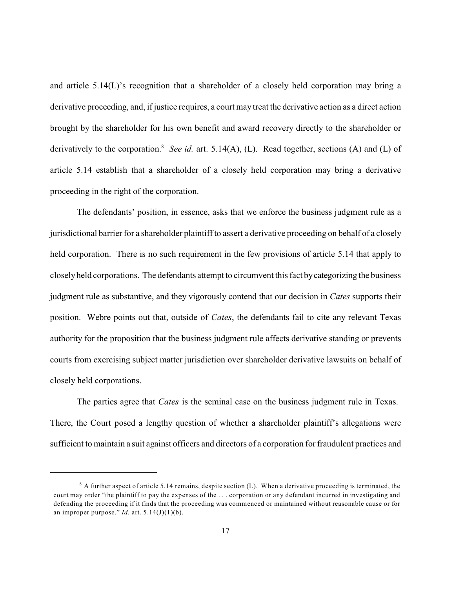and article 5.14(L)'s recognition that a shareholder of a closely held corporation may bring a derivative proceeding, and, if justice requires, a court may treat the derivative action as a direct action brought by the shareholder for his own benefit and award recovery directly to the shareholder or derivatively to the corporation.<sup>8</sup> See id. art. 5.14(A), (L). Read together, sections (A) and (L) of article 5.14 establish that a shareholder of a closely held corporation may bring a derivative proceeding in the right of the corporation.

The defendants' position, in essence, asks that we enforce the business judgment rule as a jurisdictional barrier for a shareholder plaintiff to assert a derivative proceeding on behalf of a closely held corporation. There is no such requirement in the few provisions of article 5.14 that apply to closelyheld corporations. The defendants attempt to circumvent this fact bycategorizing the business judgment rule as substantive, and they vigorously contend that our decision in *Cates* supports their position. Webre points out that, outside of *Cates*, the defendants fail to cite any relevant Texas authority for the proposition that the business judgment rule affects derivative standing or prevents courts from exercising subject matter jurisdiction over shareholder derivative lawsuits on behalf of closely held corporations.

The parties agree that *Cates* is the seminal case on the business judgment rule in Texas. There, the Court posed a lengthy question of whether a shareholder plaintiff's allegations were sufficient to maintain a suit against officers and directors of a corporation for fraudulent practices and

 $8$  A further aspect of article 5.14 remains, despite section (L). When a derivative proceeding is terminated, the court may order "the plaintiff to pay the expenses of the . . . corporation or any defendant incurred in investigating and defending the proceeding if it finds that the proceeding was commenced or maintained without reasonable cause or for an improper purpose." *Id.* art.  $5.14(J)(1)(b)$ .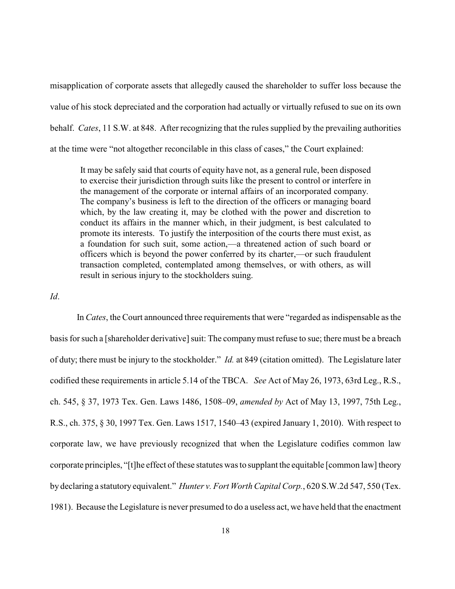misapplication of corporate assets that allegedly caused the shareholder to suffer loss because the value of his stock depreciated and the corporation had actually or virtually refused to sue on its own behalf. *Cates*, 11 S.W. at 848. After recognizing that the rules supplied by the prevailing authorities at the time were "not altogether reconcilable in this class of cases," the Court explained:

It may be safely said that courts of equity have not, as a general rule, been disposed to exercise their jurisdiction through suits like the present to control or interfere in the management of the corporate or internal affairs of an incorporated company. The company's business is left to the direction of the officers or managing board which, by the law creating it, may be clothed with the power and discretion to conduct its affairs in the manner which, in their judgment, is best calculated to promote its interests. To justify the interposition of the courts there must exist, as a foundation for such suit, some action,—a threatened action of such board or officers which is beyond the power conferred by its charter,—or such fraudulent transaction completed, contemplated among themselves, or with others, as will result in serious injury to the stockholders suing.

#### *Id*.

In *Cates*, the Court announced three requirements that were "regarded as indispensable as the basis for such a [shareholder derivative] suit: The companymust refuse to sue; there must be a breach of duty; there must be injury to the stockholder." *Id.* at 849 (citation omitted). The Legislature later codified these requirements in article 5.14 of the TBCA. *See* Act of May 26, 1973, 63rd Leg., R.S., ch. 545, § 37, 1973 Tex. Gen. Laws 1486, 1508–09, *amended by* Act of May 13, 1997, 75th Leg., R.S., ch. 375, § 30, 1997 Tex. Gen. Laws 1517, 1540–43 (expired January 1, 2010). With respect to corporate law, we have previously recognized that when the Legislature codifies common law corporate principles, "[t]he effect of these statutes was to supplant the equitable [common law] theory by declaring a statutory equivalent." *Hunter v. Fort Worth Capital Corp.*, 620 S.W.2d 547, 550 (Tex. 1981). Because the Legislature is never presumed to do a useless act, we have held that the enactment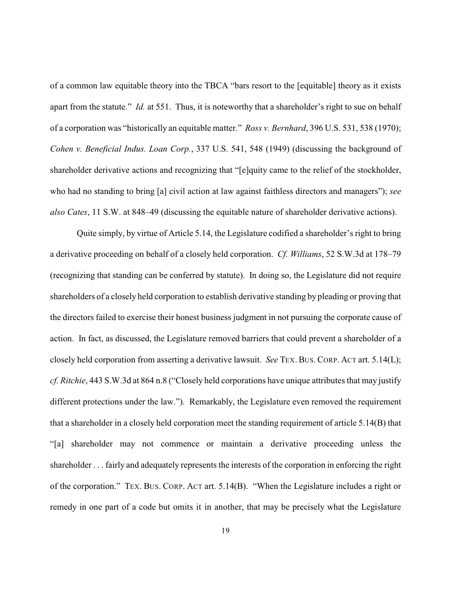of a common law equitable theory into the TBCA "bars resort to the [equitable] theory as it exists apart from the statute." *Id.* at 551. Thus, it is noteworthy that a shareholder's right to sue on behalf of a corporation was "historically an equitable matter." *Ross v. Bernhard*, 396 U.S. 531, 538 (1970); *Cohen v. Beneficial Indus. Loan Corp.*, 337 U.S. 541, 548 (1949) (discussing the background of shareholder derivative actions and recognizing that "[e]quity came to the relief of the stockholder, who had no standing to bring [a] civil action at law against faithless directors and managers"); *see also Cates*, 11 S.W. at 848–49 (discussing the equitable nature of shareholder derivative actions).

Quite simply, by virtue of Article 5.14, the Legislature codified a shareholder's right to bring a derivative proceeding on behalf of a closely held corporation. *Cf. Williams*, 52 S.W.3d at 178–79 (recognizing that standing can be conferred by statute). In doing so, the Legislature did not require shareholders of a closely held corporation to establish derivative standing by pleading or proving that the directors failed to exercise their honest business judgment in not pursuing the corporate cause of action. In fact, as discussed, the Legislature removed barriers that could prevent a shareholder of a closely held corporation from asserting a derivative lawsuit. *See* TEX. BUS. CORP. ACT art. 5.14(L); *cf. Ritchie*, 443 S.W.3d at 864 n.8 ("Closely held corporations have unique attributes that may justify different protections under the law."). Remarkably, the Legislature even removed the requirement that a shareholder in a closely held corporation meet the standing requirement of article 5.14(B) that "[a] shareholder may not commence or maintain a derivative proceeding unless the shareholder . . . fairly and adequately represents the interests of the corporation in enforcing the right of the corporation." TEX. BUS. CORP. ACT art. 5.14(B). "When the Legislature includes a right or remedy in one part of a code but omits it in another, that may be precisely what the Legislature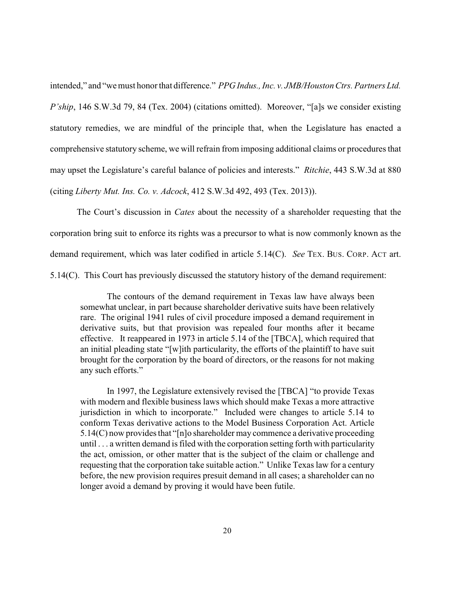intended," and "wemust honor that difference." *PPG Indus., Inc. v. JMB/Houston Ctrs. Partners Ltd. P'ship*, 146 S.W.3d 79, 84 (Tex. 2004) (citations omitted). Moreover, "[a]s we consider existing statutory remedies, we are mindful of the principle that, when the Legislature has enacted a comprehensive statutory scheme, we will refrain from imposing additional claims or procedures that may upset the Legislature's careful balance of policies and interests." *Ritchie*, 443 S.W.3d at 880 (citing *Liberty Mut. Ins. Co. v. Adcock*, 412 S.W.3d 492, 493 (Tex. 2013)).

The Court's discussion in *Cates* about the necessity of a shareholder requesting that the corporation bring suit to enforce its rights was a precursor to what is now commonly known as the demand requirement, which was later codified in article 5.14(C). *See* TEX. BUS. CORP. ACT art. 5.14(C). This Court has previously discussed the statutory history of the demand requirement:

The contours of the demand requirement in Texas law have always been somewhat unclear, in part because shareholder derivative suits have been relatively rare. The original 1941 rules of civil procedure imposed a demand requirement in derivative suits, but that provision was repealed four months after it became effective. It reappeared in 1973 in article 5.14 of the [TBCA], which required that an initial pleading state "[w]ith particularity, the efforts of the plaintiff to have suit brought for the corporation by the board of directors, or the reasons for not making any such efforts."

In 1997, the Legislature extensively revised the [TBCA] "to provide Texas with modern and flexible business laws which should make Texas a more attractive jurisdiction in which to incorporate." Included were changes to article 5.14 to conform Texas derivative actions to the Model Business Corporation Act. Article 5.14(C) now provides that "[n]o shareholder may commence a derivative proceeding until . . . a written demand is filed with the corporation setting forth with particularity the act, omission, or other matter that is the subject of the claim or challenge and requesting that the corporation take suitable action." Unlike Texas law for a century before, the new provision requires presuit demand in all cases; a shareholder can no longer avoid a demand by proving it would have been futile.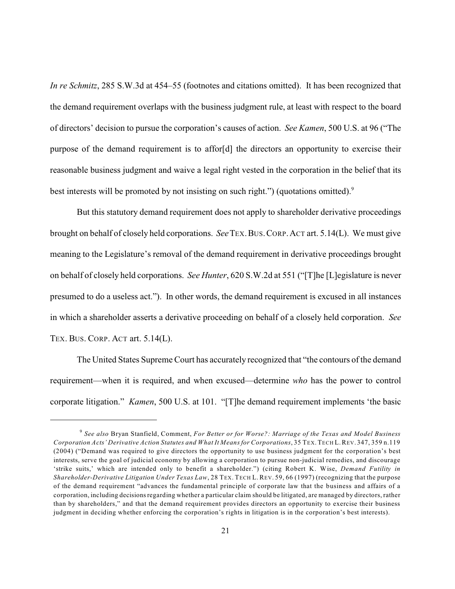*In re Schmitz*, 285 S.W.3d at 454–55 (footnotes and citations omitted). It has been recognized that the demand requirement overlaps with the business judgment rule, at least with respect to the board of directors' decision to pursue the corporation's causes of action. *See Kamen*, 500 U.S. at 96 ("The purpose of the demand requirement is to affor[d] the directors an opportunity to exercise their reasonable business judgment and waive a legal right vested in the corporation in the belief that its best interests will be promoted by not insisting on such right.") (quotations omitted).<sup>9</sup>

But this statutory demand requirement does not apply to shareholder derivative proceedings brought on behalf of closely held corporations. *See*TEX.BUS.CORP.ACT art. 5.14(L). We must give meaning to the Legislature's removal of the demand requirement in derivative proceedings brought on behalf of closely held corporations. *See Hunter*, 620 S.W.2d at 551 ("[T]he [L]egislature is never presumed to do a useless act."). In other words, the demand requirement is excused in all instances in which a shareholder asserts a derivative proceeding on behalf of a closely held corporation. *See* TEX. BUS. CORP. ACT art. 5.14(L).

The United States Supreme Court has accurately recognized that "the contours of the demand requirement—when it is required, and when excused—determine *who* has the power to control corporate litigation." *Kamen*, 500 U.S. at 101. "[T]he demand requirement implements 'the basic

*See also* Bryan Stanfield, Comment, *For Better or for Worse?: Marriage of the Texas and Model Business* 9 *Corporation Acts' Derivative Action Statutes and What It Means for Corporations*, 35 TEX.TECH L.REV. 347, 359 n.119 (2004) ("Demand was required to give directors the opportunity to use business judgment for the corporation's best interests, serve the goal of judicial economy by allowing a corporation to pursue non-judicial remedies, and discourage 'strike suits,' which are intended only to benefit a shareholder.") (citing Robert K. Wise, *Demand Futility in Shareholder-Derivative Litigation Under Texas Law*, 28 TEX. TECH L. REV. 59, 66 (1997) (recognizing that the purpose of the demand requirement "advances the fundamental principle of corporate law that the business and affairs of a corporation, including decisionsregarding whether a particular claim should be litigated, are managed by directors, rather than by shareholders," and that the demand requirement provides directors an opportunity to exercise their business judgment in deciding whether enforcing the corporation's rights in litigation is in the corporation's best interests).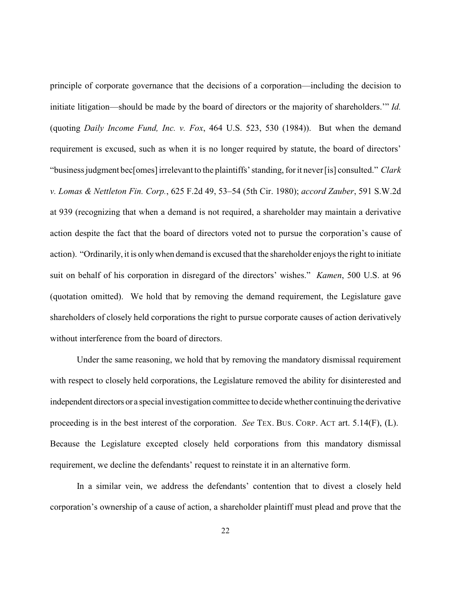principle of corporate governance that the decisions of a corporation—including the decision to initiate litigation—should be made by the board of directors or the majority of shareholders.'" *Id.* (quoting *Daily Income Fund, Inc. v. Fox*, 464 U.S. 523, 530 (1984)). But when the demand requirement is excused, such as when it is no longer required by statute, the board of directors' "business judgment bec[omes] irrelevant to the plaintiffs' standing, for it never[is] consulted." *Clark v. Lomas & Nettleton Fin. Corp.*, 625 F.2d 49, 53–54 (5th Cir. 1980); *accord Zauber*, 591 S.W.2d at 939 (recognizing that when a demand is not required, a shareholder may maintain a derivative action despite the fact that the board of directors voted not to pursue the corporation's cause of action). "Ordinarily, it is onlywhen demand is excused that the shareholder enjoys the right to initiate suit on behalf of his corporation in disregard of the directors' wishes." *Kamen*, 500 U.S. at 96 (quotation omitted). We hold that by removing the demand requirement, the Legislature gave shareholders of closely held corporations the right to pursue corporate causes of action derivatively without interference from the board of directors.

Under the same reasoning, we hold that by removing the mandatory dismissal requirement with respect to closely held corporations, the Legislature removed the ability for disinterested and independent directors or a special investigation committee to decidewhether continuing the derivative proceeding is in the best interest of the corporation. *See* TEX. BUS. CORP. ACT art. 5.14(F), (L). Because the Legislature excepted closely held corporations from this mandatory dismissal requirement, we decline the defendants' request to reinstate it in an alternative form.

In a similar vein, we address the defendants' contention that to divest a closely held corporation's ownership of a cause of action, a shareholder plaintiff must plead and prove that the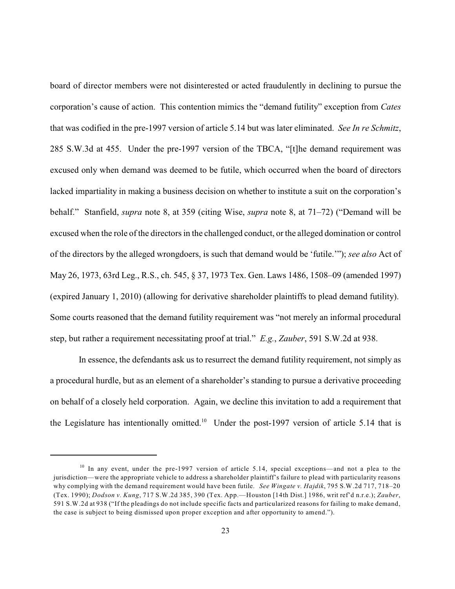board of director members were not disinterested or acted fraudulently in declining to pursue the corporation's cause of action. This contention mimics the "demand futility" exception from *Cates* that was codified in the pre-1997 version of article 5.14 but was later eliminated. *See In re Schmitz*, 285 S.W.3d at 455. Under the pre-1997 version of the TBCA, "[t]he demand requirement was excused only when demand was deemed to be futile, which occurred when the board of directors lacked impartiality in making a business decision on whether to institute a suit on the corporation's behalf." Stanfield, *supra* note 8, at 359 (citing Wise, *supra* note 8, at 71–72) ("Demand will be excused when the role of the directors in the challenged conduct, or the alleged domination or control of the directors by the alleged wrongdoers, is such that demand would be 'futile.'"); *see also* Act of May 26, 1973, 63rd Leg., R.S., ch. 545, § 37, 1973 Tex. Gen. Laws 1486, 1508–09 (amended 1997) (expired January 1, 2010) (allowing for derivative shareholder plaintiffs to plead demand futility). Some courts reasoned that the demand futility requirement was "not merely an informal procedural step, but rather a requirement necessitating proof at trial." *E.g.*, *Zauber*, 591 S.W.2d at 938.

In essence, the defendants ask us to resurrect the demand futility requirement, not simply as a procedural hurdle, but as an element of a shareholder's standing to pursue a derivative proceeding on behalf of a closely held corporation. Again, we decline this invitation to add a requirement that the Legislature has intentionally omitted.<sup>10</sup> Under the post-1997 version of article 5.14 that is

<sup>&</sup>lt;sup>10</sup> In any event, under the pre-1997 version of article 5.14, special exceptions—and not a plea to the jurisdiction—were the appropriate vehicle to address a shareholder plaintiff's failure to plead with particularity reasons why complying with the demand requirement would have been futile. *See Wingate v. Hajdik*, 795 S.W.2d 717, 718–20 (Tex. 1990); *Dodson v. Kung*, 717 S.W.2d 385, 390 (Tex. App.—Houston [14th Dist.] 1986, writ ref'd n.r.e.); *Zauber*, 591 S.W.2d at 938 ("If the pleadings do not include specific facts and particularized reasons for failing to make demand, the case is subject to being dismissed upon proper exception and after opportunity to amend.").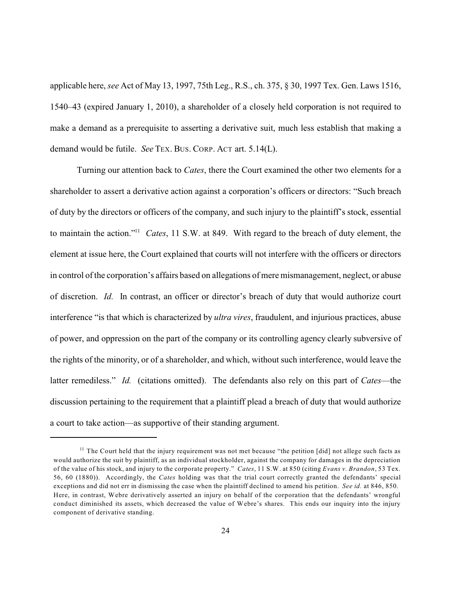applicable here, *see* Act of May 13, 1997, 75th Leg., R.S., ch. 375, § 30, 1997 Tex. Gen. Laws 1516, 1540–43 (expired January 1, 2010), a shareholder of a closely held corporation is not required to make a demand as a prerequisite to asserting a derivative suit, much less establish that making a demand would be futile. *See* TEX. BUS. CORP. ACT art. 5.14(L).

Turning our attention back to *Cates*, there the Court examined the other two elements for a shareholder to assert a derivative action against a corporation's officers or directors: "Such breach of duty by the directors or officers of the company, and such injury to the plaintiff's stock, essential to maintain the action."<sup>11</sup> Cates, 11 S.W. at 849. With regard to the breach of duty element, the element at issue here, the Court explained that courts will not interfere with the officers or directors in control of the corporation's affairs based on allegations of mere mismanagement, neglect, or abuse of discretion. *Id.* In contrast, an officer or director's breach of duty that would authorize court interference "is that which is characterized by *ultra vires*, fraudulent, and injurious practices, abuse of power, and oppression on the part of the company or its controlling agency clearly subversive of the rights of the minority, or of a shareholder, and which, without such interference, would leave the latter remediless." *Id.* (citations omitted). The defendants also rely on this part of *Cates*—the discussion pertaining to the requirement that a plaintiff plead a breach of duty that would authorize a court to take action—as supportive of their standing argument.

 $11$  The Court held that the injury requirement was not met because "the petition [did] not allege such facts as would authorize the suit by plaintiff, as an individual stockholder, against the company for damages in the depreciation of the value of his stock, and injury to the corporate property." *Cates*, 11 S.W. at 850 (citing *Evans v. Brandon*, 53 Tex. 56, 60 (1880)). Accordingly, the *Cates* holding was that the trial court correctly granted the defendants' special exceptions and did not err in dismissing the case when the plaintiff declined to amend his petition. *See id.* at 846, 850. Here, in contrast, Webre derivatively asserted an injury on behalf of the corporation that the defendants' wrongful conduct diminished its assets, which decreased the value of Webre's shares. This ends our inquiry into the injury component of derivative standing.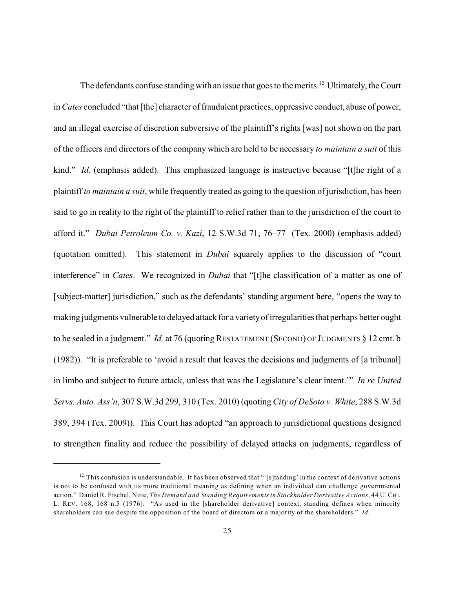The defendants confuse standing with an issue that goes to the merits.<sup>12</sup> Ultimately, the Court in *Cates* concluded "that [the] character of fraudulent practices, oppressive conduct, abuse of power, and an illegal exercise of discretion subversive of the plaintiff's rights [was] not shown on the part of the officers and directors of the company which are held to be necessary *to maintain a suit* of this kind." *Id.* (emphasis added). This emphasized language is instructive because "[t]he right of a plaintiff *to maintain a suit*, while frequently treated as going to the question of jurisdiction, has been said to go in reality to the right of the plaintiff to relief rather than to the jurisdiction of the court to afford it." *Dubai Petroleum Co. v. Kazi*, 12 S.W.3d 71, 76–77 (Tex. 2000) (emphasis added) (quotation omitted). This statement in *Dubai* squarely applies to the discussion of "court interference" in *Cates*. We recognized in *Dubai* that "[t]he classification of a matter as one of [subject-matter] jurisdiction," such as the defendants' standing argument here, "opens the way to making judgments vulnerable to delayed attack for a varietyof irregularitiesthat perhaps better ought to be sealed in a judgment." *Id.* at 76 (quoting RESTATEMENT (SECOND) OF JUDGMENTS § 12 cmt. b (1982)). "It is preferable to 'avoid a result that leaves the decisions and judgments of [a tribunal] in limbo and subject to future attack, unless that was the Legislature's clear intent.'" *In re United Servs. Auto. Ass'n*, 307 S.W.3d 299, 310 (Tex. 2010) (quoting *City of DeSoto v. White*, 288 S.W.3d 389, 394 (Tex. 2009)). This Court has adopted "an approach to jurisdictional questions designed to strengthen finality and reduce the possibility of delayed attacks on judgments, regardless of

<sup>&</sup>lt;sup>12</sup> This confusion is understandable. It has been observed that "[s]tanding' in the context of derivative actions is not to be confused with its more traditional meaning as defining when an individual can challenge governmental action." Daniel R. Fischel, Note, *The Demand and Standing Requirements in Stockholder Derivative Actions*, 44 U.CHI. L. REV. 168, 168 n.5 (1976). "As used in the [shareholder derivative] context, standing defines when minority shareholders can sue despite the opposition of the board of directors or a majority of the shareholders." *Id.*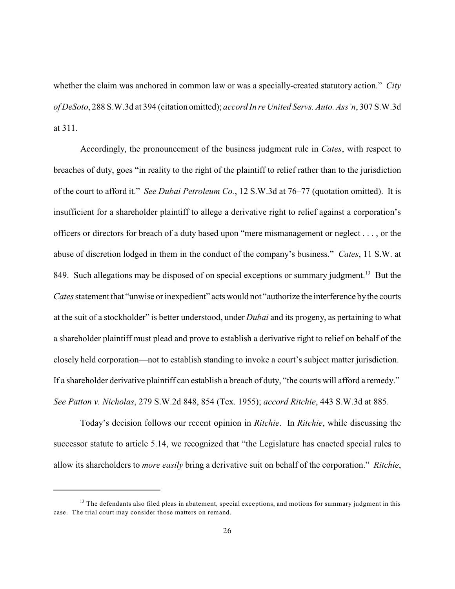whether the claim was anchored in common law or was a specially-created statutory action." *City of DeSoto*, 288 S.W.3d at 394 (citation omitted); *accord In re United Servs. Auto. Ass'n*, 307 S.W.3d at 311.

Accordingly, the pronouncement of the business judgment rule in *Cates*, with respect to breaches of duty, goes "in reality to the right of the plaintiff to relief rather than to the jurisdiction of the court to afford it." *See Dubai Petroleum Co.*, 12 S.W.3d at 76–77 (quotation omitted). It is insufficient for a shareholder plaintiff to allege a derivative right to relief against a corporation's officers or directors for breach of a duty based upon "mere mismanagement or neglect . . . , or the abuse of discretion lodged in them in the conduct of the company's business." *Cates*, 11 S.W. at 849. Such allegations may be disposed of on special exceptions or summary judgment.<sup>13</sup> But the *Cates* statement that "unwise or inexpedient" acts would not "authorize the interference by the courts at the suit of a stockholder" is better understood, under *Dubai* and its progeny, as pertaining to what a shareholder plaintiff must plead and prove to establish a derivative right to relief on behalf of the closely held corporation—not to establish standing to invoke a court's subject matter jurisdiction. If a shareholder derivative plaintiff can establish a breach of duty, "the courts will afford a remedy." *See Patton v. Nicholas*, 279 S.W.2d 848, 854 (Tex. 1955); *accord Ritchie*, 443 S.W.3d at 885.

Today's decision follows our recent opinion in *Ritchie*. In *Ritchie*, while discussing the successor statute to article 5.14, we recognized that "the Legislature has enacted special rules to allow its shareholders to *more easily* bring a derivative suit on behalf of the corporation." *Ritchie*,

<sup>&</sup>lt;sup>13</sup> The defendants also filed pleas in abatement, special exceptions, and motions for summary judgment in this case. The trial court may consider those matters on remand.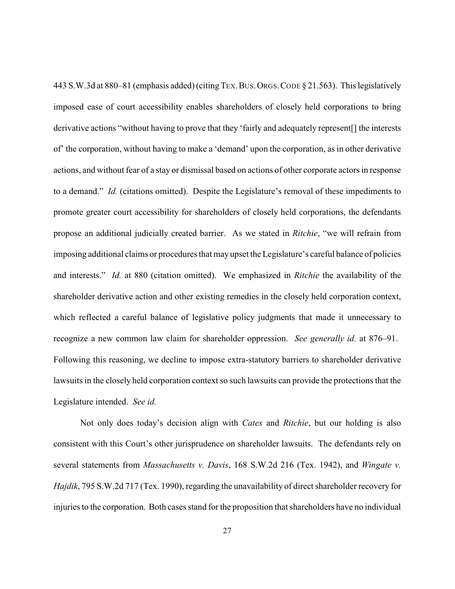443 S.W.3d at 880–81 (emphasis added)(citingTEX.BUS.ORGS.CODE § 21.563). This legislatively imposed ease of court accessibility enables shareholders of closely held corporations to bring derivative actions "without having to prove that they 'fairly and adequately represent[] the interests of' the corporation, without having to make a 'demand' upon the corporation, as in other derivative actions, and without fear of a stay or dismissal based on actions of other corporate actors in response to a demand." *Id.* (citations omitted). Despite the Legislature's removal of these impediments to promote greater court accessibility for shareholders of closely held corporations, the defendants propose an additional judicially created barrier. As we stated in *Ritchie*, "we will refrain from imposing additional claims or procedures that may upset the Legislature's careful balance of policies and interests." *Id.* at 880 (citation omitted). We emphasized in *Ritchie* the availability of the shareholder derivative action and other existing remedies in the closely held corporation context, which reflected a careful balance of legislative policy judgments that made it unnecessary to recognize a new common law claim for shareholder oppression. *See generally id.* at 876–91. Following this reasoning, we decline to impose extra-statutory barriers to shareholder derivative lawsuits in the closely held corporation context so such lawsuits can provide the protections that the Legislature intended. *See id.*

Not only does today's decision align with *Cates* and *Ritchie*, but our holding is also consistent with this Court's other jurisprudence on shareholder lawsuits. The defendants rely on several statements from *Massachusetts v. Davis*, 168 S.W.2d 216 (Tex. 1942), and *Wingate v. Hajdik*, 795 S.W.2d 717 (Tex. 1990), regarding the unavailability of direct shareholder recovery for injuries to the corporation. Both cases stand for the proposition that shareholders have no individual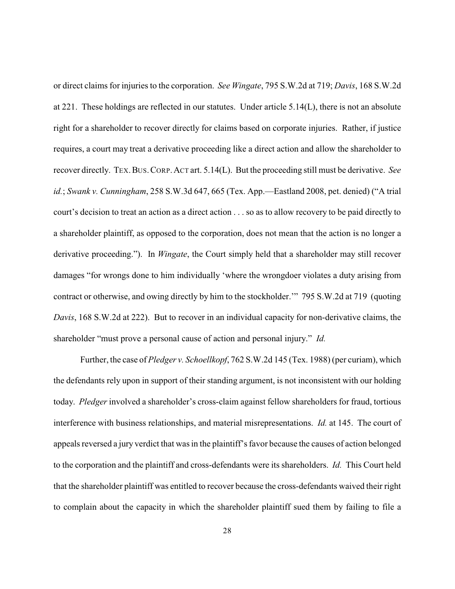or direct claims for injuries to the corporation. *See Wingate*, 795 S.W.2d at 719; *Davis*, 168 S.W.2d at 221. These holdings are reflected in our statutes. Under article 5.14(L), there is not an absolute right for a shareholder to recover directly for claims based on corporate injuries. Rather, if justice requires, a court may treat a derivative proceeding like a direct action and allow the shareholder to recover directly. TEX.BUS.CORP.ACT art. 5.14(L). But the proceeding still must be derivative. *See id.*; *Swank v. Cunningham*, 258 S.W.3d 647, 665 (Tex. App.—Eastland 2008, pet. denied) ("A trial court's decision to treat an action as a direct action . . . so as to allow recovery to be paid directly to a shareholder plaintiff, as opposed to the corporation, does not mean that the action is no longer a derivative proceeding."). In *Wingate*, the Court simply held that a shareholder may still recover damages "for wrongs done to him individually 'where the wrongdoer violates a duty arising from contract or otherwise, and owing directly by him to the stockholder.'" 795 S.W.2d at 719 (quoting *Davis*, 168 S.W.2d at 222). But to recover in an individual capacity for non-derivative claims, the shareholder "must prove a personal cause of action and personal injury." *Id.* 

Further, the case of *Pledger v. Schoellkopf*, 762 S.W.2d 145 (Tex. 1988) (per curiam), which the defendants rely upon in support of their standing argument, is not inconsistent with our holding today. *Pledger* involved a shareholder's cross-claim against fellow shareholders for fraud, tortious interference with business relationships, and material misrepresentations. *Id.* at 145. The court of appeals reversed a jury verdict that was in the plaintiff's favor because the causes of action belonged to the corporation and the plaintiff and cross-defendants were its shareholders. *Id.* This Court held that the shareholder plaintiff was entitled to recover because the cross-defendants waived their right to complain about the capacity in which the shareholder plaintiff sued them by failing to file a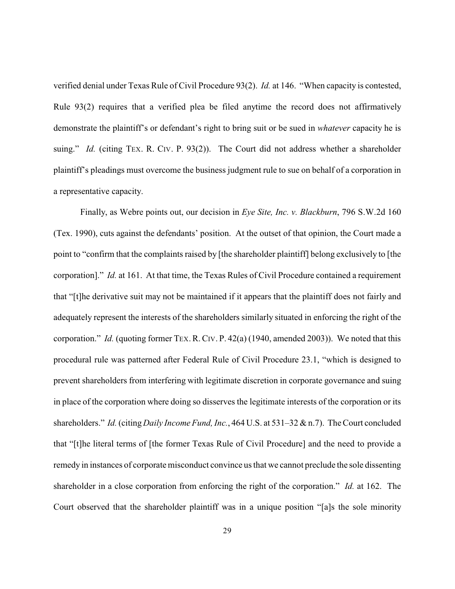verified denial under Texas Rule of Civil Procedure 93(2). *Id.* at 146. "When capacity is contested, Rule 93(2) requires that a verified plea be filed anytime the record does not affirmatively demonstrate the plaintiff's or defendant's right to bring suit or be sued in *whatever* capacity he is suing." *Id.* (citing TEX. R. CIV. P. 93(2)). The Court did not address whether a shareholder plaintiff's pleadings must overcome the business judgment rule to sue on behalf of a corporation in a representative capacity.

Finally, as Webre points out, our decision in *Eye Site, Inc. v. Blackburn*, 796 S.W.2d 160 (Tex. 1990), cuts against the defendants' position. At the outset of that opinion, the Court made a point to "confirm that the complaints raised by [the shareholder plaintiff] belong exclusively to [the corporation]." *Id.* at 161. At that time, the Texas Rules of Civil Procedure contained a requirement that "[t]he derivative suit may not be maintained if it appears that the plaintiff does not fairly and adequately represent the interests of the shareholders similarly situated in enforcing the right of the corporation." *Id.* (quoting former TEX.R.CIV. P. 42(a) (1940, amended 2003)). We noted that this procedural rule was patterned after Federal Rule of Civil Procedure 23.1, "which is designed to prevent shareholders from interfering with legitimate discretion in corporate governance and suing in place of the corporation where doing so disserves the legitimate interests of the corporation or its shareholders." *Id.*(citing *Daily Income Fund, Inc.*, 464 U.S. at 531–32 & n.7). The Court concluded that "[t]he literal terms of [the former Texas Rule of Civil Procedure] and the need to provide a remedy in instances of corporate misconduct convince us that we cannot preclude the sole dissenting shareholder in a close corporation from enforcing the right of the corporation." *Id.* at 162. The Court observed that the shareholder plaintiff was in a unique position "[a]s the sole minority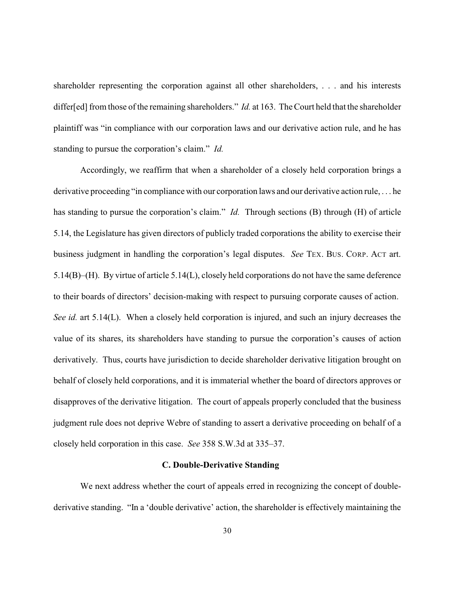shareholder representing the corporation against all other shareholders, . . . and his interests differ[ed] from those of the remaining shareholders." *Id.* at 163. The Court held that the shareholder plaintiff was "in compliance with our corporation laws and our derivative action rule, and he has standing to pursue the corporation's claim." *Id.*

Accordingly, we reaffirm that when a shareholder of a closely held corporation brings a derivative proceeding "in compliance with our corporation laws and our derivative action rule, . . . he has standing to pursue the corporation's claim." *Id.* Through sections (B) through (H) of article 5.14, the Legislature has given directors of publicly traded corporations the ability to exercise their business judgment in handling the corporation's legal disputes. *See* TEX. BUS. CORP. ACT art. 5.14(B)–(H). By virtue of article 5.14(L), closely held corporations do not have the same deference to their boards of directors' decision-making with respect to pursuing corporate causes of action. *See id.* art 5.14(L). When a closely held corporation is injured, and such an injury decreases the value of its shares, its shareholders have standing to pursue the corporation's causes of action derivatively. Thus, courts have jurisdiction to decide shareholder derivative litigation brought on behalf of closely held corporations, and it is immaterial whether the board of directors approves or disapproves of the derivative litigation. The court of appeals properly concluded that the business judgment rule does not deprive Webre of standing to assert a derivative proceeding on behalf of a closely held corporation in this case. *See* 358 S.W.3d at 335–37.

#### **C. Double-Derivative Standing**

We next address whether the court of appeals erred in recognizing the concept of doublederivative standing. "In a 'double derivative' action, the shareholder is effectively maintaining the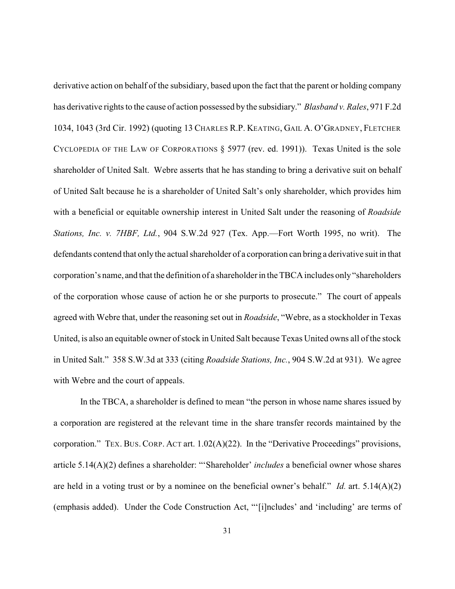derivative action on behalf of the subsidiary, based upon the fact that the parent or holding company has derivative rights to the cause of action possessed by the subsidiary." *Blasband v. Rales*, 971 F.2d 1034, 1043 (3rd Cir. 1992) (quoting 13 CHARLES R.P. KEATING, GAIL A. O'GRADNEY, FLETCHER CYCLOPEDIA OF THE LAW OF CORPORATIONS § 5977 (rev. ed. 1991)). Texas United is the sole shareholder of United Salt. Webre asserts that he has standing to bring a derivative suit on behalf of United Salt because he is a shareholder of United Salt's only shareholder, which provides him with a beneficial or equitable ownership interest in United Salt under the reasoning of *Roadside Stations, Inc. v. 7HBF, Ltd.*, 904 S.W.2d 927 (Tex. App.—Fort Worth 1995, no writ). The defendants contend that only the actual shareholder of a corporation can bring a derivative suit in that corporation's name, and that the definition of a shareholder in the TBCA includes only"shareholders of the corporation whose cause of action he or she purports to prosecute." The court of appeals agreed with Webre that, under the reasoning set out in *Roadside*, "Webre, as a stockholder in Texas United, is also an equitable owner of stock in United Salt because Texas United owns all of the stock in United Salt." 358 S.W.3d at 333 (citing *Roadside Stations, Inc.*, 904 S.W.2d at 931). We agree with Webre and the court of appeals.

In the TBCA, a shareholder is defined to mean "the person in whose name shares issued by a corporation are registered at the relevant time in the share transfer records maintained by the corporation." TEX. BUS. CORP. ACT art. 1.02(A)(22). In the "Derivative Proceedings" provisions, article 5.14(A)(2) defines a shareholder: "'Shareholder' *includes* a beneficial owner whose shares are held in a voting trust or by a nominee on the beneficial owner's behalf." *Id.* art. 5.14(A)(2) (emphasis added). Under the Code Construction Act, "'[i]ncludes' and 'including' are terms of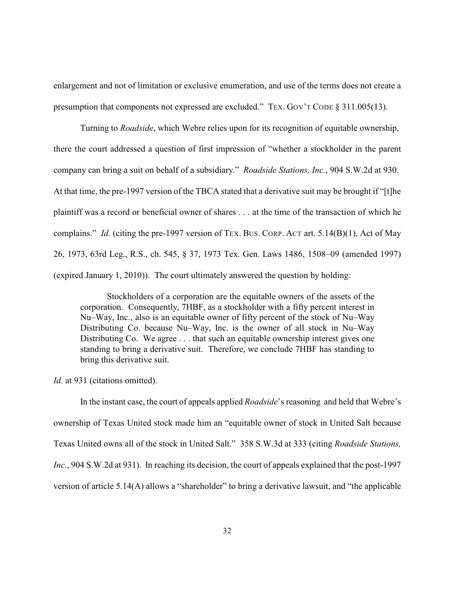enlargement and not of limitation or exclusive enumeration, and use of the terms does not create a presumption that components not expressed are excluded." TEX. GOV'T CODE § 311.005(13).

Turning to *Roadside*, which Webre relies upon for its recognition of equitable ownership, there the court addressed a question of first impression of "whether a stockholder in the parent company can bring a suit on behalf of a subsidiary." *Roadside Stations, Inc.*, 904 S.W.2d at 930. At that time, the pre-1997 version of the TBCA stated that a derivative suit may be brought if "[t]he plaintiff was a record or beneficial owner of shares . . . at the time of the transaction of which he complains." *Id.* (citing the pre-1997 version of TEX. BUS. CORP. ACT art. 5.14(B)(1), Act of May 26, 1973, 63rd Leg., R.S., ch. 545, § 37, 1973 Tex. Gen. Laws 1486, 1508–09 (amended 1997) (expired January 1, 2010)). The court ultimately answered the question by holding:

Stockholders of a corporation are the equitable owners of the assets of the corporation. Consequently, 7HBF, as a stockholder with a fifty percent interest in Nu–Way, Inc., also is an equitable owner of fifty percent of the stock of Nu–Way Distributing Co. because Nu–Way, Inc. is the owner of all stock in Nu–Way Distributing Co. We agree . . . that such an equitable ownership interest gives one standing to bring a derivative suit. Therefore, we conclude 7HBF has standing to bring this derivative suit.

*Id.* at 931 (citations omitted).

In the instant case, the court of appeals applied *Roadside*'s reasoning and held that Webre's ownership of Texas United stock made him an "equitable owner of stock in United Salt because Texas United owns all of the stock in United Salt." 358 S.W.3d at 333 (citing *Roadside Stations, Inc.*, 904 S.W.2d at 931). In reaching its decision, the court of appeals explained that the post-1997 version of article 5.14(A) allows a "shareholder" to bring a derivative lawsuit, and "the applicable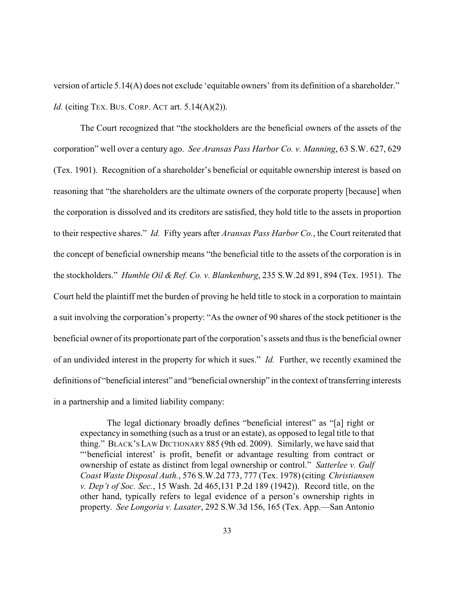version of article 5.14(A) does not exclude 'equitable owners' from its definition of a shareholder." *Id.* (citing TEX. BUS. CORP. ACT art. 5.14(A)(2)).

The Court recognized that "the stockholders are the beneficial owners of the assets of the corporation" well over a century ago. *See Aransas Pass Harbor Co. v. Manning*, 63 S.W. 627, 629 (Tex. 1901). Recognition of a shareholder's beneficial or equitable ownership interest is based on reasoning that "the shareholders are the ultimate owners of the corporate property [because] when the corporation is dissolved and its creditors are satisfied, they hold title to the assets in proportion to their respective shares." *Id.* Fifty years after *Aransas Pass Harbor Co.*, the Court reiterated that the concept of beneficial ownership means "the beneficial title to the assets of the corporation is in the stockholders." *Humble Oil & Ref. Co. v. Blankenburg*, 235 S.W.2d 891, 894 (Tex. 1951). The Court held the plaintiff met the burden of proving he held title to stock in a corporation to maintain a suit involving the corporation's property: "As the owner of 90 shares of the stock petitioner is the beneficial owner of its proportionate part of the corporation's assets and thus is the beneficial owner of an undivided interest in the property for which it sues." *Id.* Further, we recently examined the definitions of "beneficial interest" and "beneficial ownership" in the context of transferring interests in a partnership and a limited liability company:

The legal dictionary broadly defines "beneficial interest" as "[a] right or expectancy in something (such as a trust or an estate), as opposed to legal title to that thing." BLACK'S LAW DICTIONARY 885 (9th ed. 2009). Similarly, we have said that "'beneficial interest' is profit, benefit or advantage resulting from contract or ownership of estate as distinct from legal ownership or control." *Satterlee v. Gulf Coast Waste Disposal Auth.*, 576 S.W.2d 773, 777 (Tex. 1978) (citing *Christiansen v. Dep't of Soc. Sec.*, 15 Wash. 2d 465,131 P.2d 189 (1942)). Record title, on the other hand, typically refers to legal evidence of a person's ownership rights in property. *See Longoria v. Lasater*, 292 S.W.3d 156, 165 (Tex. App.—San Antonio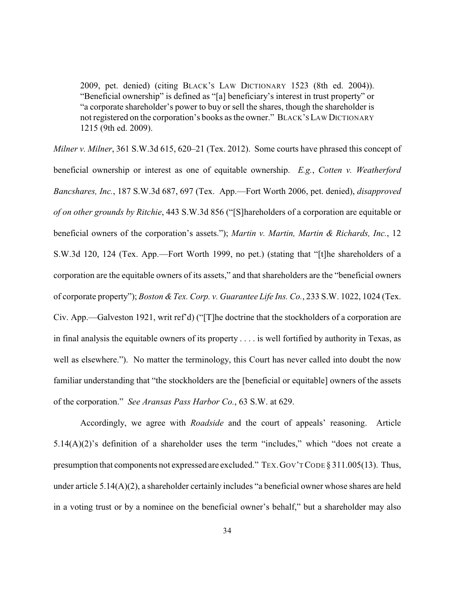2009, pet. denied) (citing BLACK'S LAW DICTIONARY 1523 (8th ed. 2004)). "Beneficial ownership" is defined as "[a] beneficiary's interest in trust property" or "a corporate shareholder's power to buy or sell the shares, though the shareholder is not registered on the corporation's books as the owner." BLACK'S LAW DICTIONARY 1215 (9th ed. 2009).

*Milner v. Milner*, 361 S.W.3d 615, 620–21 (Tex. 2012). Some courts have phrased this concept of beneficial ownership or interest as one of equitable ownership. *E.g.*, *Cotten v. Weatherford Bancshares, Inc.*, 187 S.W.3d 687, 697 (Tex. App.—Fort Worth 2006, pet. denied), *disapproved of on other grounds by Ritchie*, 443 S.W.3d 856 ("[S]hareholders of a corporation are equitable or beneficial owners of the corporation's assets."); *Martin v. Martin, Martin & Richards, Inc.*, 12 S.W.3d 120, 124 (Tex. App.—Fort Worth 1999, no pet.) (stating that "[t]he shareholders of a corporation are the equitable owners of its assets," and that shareholders are the "beneficial owners of corporate property"); *Boston &Tex. Corp. v. Guarantee Life Ins. Co.*, 233 S.W. 1022, 1024 (Tex. Civ. App.—Galveston 1921, writ ref'd) ("[T]he doctrine that the stockholders of a corporation are in final analysis the equitable owners of its property . . . . is well fortified by authority in Texas, as well as elsewhere."). No matter the terminology, this Court has never called into doubt the now familiar understanding that "the stockholders are the [beneficial or equitable] owners of the assets of the corporation." *See Aransas Pass Harbor Co.*, 63 S.W. at 629.

Accordingly, we agree with *Roadside* and the court of appeals' reasoning. Article 5.14(A)(2)'s definition of a shareholder uses the term "includes," which "does not create a presumption that components not expressed are excluded." TEX.GOV'TCODE § 311.005(13). Thus, under article 5.14(A)(2), a shareholder certainly includes "a beneficial owner whose shares are held in a voting trust or by a nominee on the beneficial owner's behalf," but a shareholder may also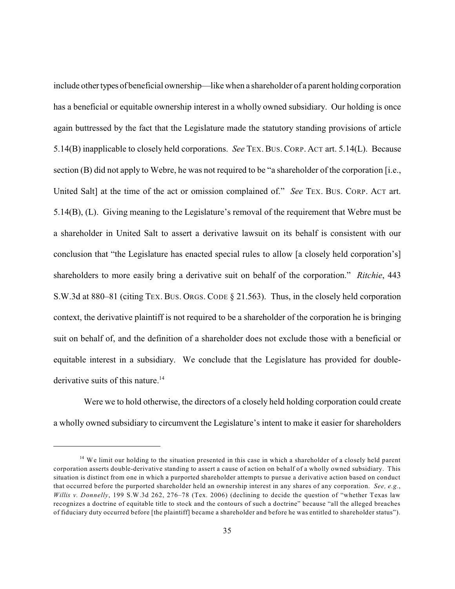include othertypes of beneficial ownership—like when a shareholder of a parent holding corporation has a beneficial or equitable ownership interest in a wholly owned subsidiary. Our holding is once again buttressed by the fact that the Legislature made the statutory standing provisions of article 5.14(B) inapplicable to closely held corporations. *See* TEX. BUS. CORP. ACT art. 5.14(L). Because section (B) did not apply to Webre, he was not required to be "a shareholder of the corporation [i.e., United Salt] at the time of the act or omission complained of." *See* TEX. BUS. CORP. ACT art. 5.14(B), (L). Giving meaning to the Legislature's removal of the requirement that Webre must be a shareholder in United Salt to assert a derivative lawsuit on its behalf is consistent with our conclusion that "the Legislature has enacted special rules to allow [a closely held corporation's] shareholders to more easily bring a derivative suit on behalf of the corporation." *Ritchie*, 443 S.W.3d at 880–81 (citing TEX. BUS. ORGS. CODE § 21.563). Thus, in the closely held corporation context, the derivative plaintiff is not required to be a shareholder of the corporation he is bringing suit on behalf of, and the definition of a shareholder does not exclude those with a beneficial or equitable interest in a subsidiary. We conclude that the Legislature has provided for doublederivative suits of this nature.<sup>14</sup>

Were we to hold otherwise, the directors of a closely held holding corporation could create a wholly owned subsidiary to circumvent the Legislature's intent to make it easier for shareholders

<sup>&</sup>lt;sup>14</sup> We limit our holding to the situation presented in this case in which a shareholder of a closely held parent corporation asserts double-derivative standing to assert a cause of action on behalf of a wholly owned subsidiary. This situation is distinct from one in which a purported shareholder attempts to pursue a derivative action based on conduct that occurred before the purported shareholder held an ownership interest in any shares of any corporation. *See, e.g.*, *Willis v. Donnelly*, 199 S.W.3d 262, 276–78 (Tex. 2006) (declining to decide the question of "whether Texas law recognizes a doctrine of equitable title to stock and the contours of such a doctrine" because "all the alleged breaches of fiduciary duty occurred before [the plaintiff] became a shareholder and before he was entitled to shareholder status").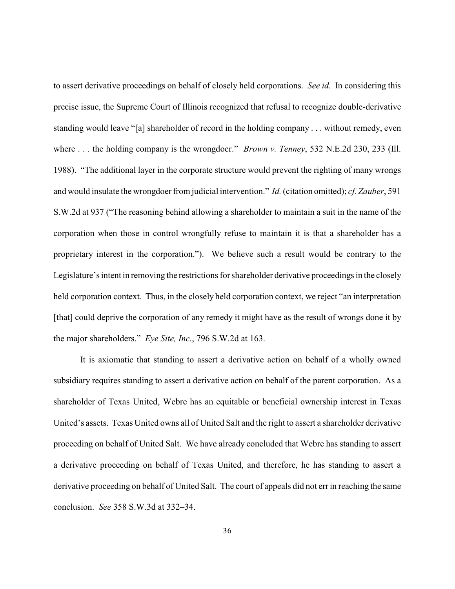to assert derivative proceedings on behalf of closely held corporations. *See id.* In considering this precise issue, the Supreme Court of Illinois recognized that refusal to recognize double-derivative standing would leave "[a] shareholder of record in the holding company . . . without remedy, even where . . . the holding company is the wrongdoer." *Brown v. Tenney*, 532 N.E.2d 230, 233 (Ill. 1988). "The additional layer in the corporate structure would prevent the righting of many wrongs and would insulate the wrongdoer from judicial intervention." *Id.*(citation omitted); *cf. Zauber*, 591 S.W.2d at 937 ("The reasoning behind allowing a shareholder to maintain a suit in the name of the corporation when those in control wrongfully refuse to maintain it is that a shareholder has a proprietary interest in the corporation."). We believe such a result would be contrary to the Legislature's intent in removing the restrictions for shareholder derivative proceedings in the closely held corporation context. Thus, in the closely held corporation context, we reject "an interpretation [that] could deprive the corporation of any remedy it might have as the result of wrongs done it by the major shareholders." *Eye Site, Inc.*, 796 S.W.2d at 163.

It is axiomatic that standing to assert a derivative action on behalf of a wholly owned subsidiary requires standing to assert a derivative action on behalf of the parent corporation. As a shareholder of Texas United, Webre has an equitable or beneficial ownership interest in Texas United's assets. Texas United owns all of United Salt and the right to assert a shareholder derivative proceeding on behalf of United Salt. We have already concluded that Webre has standing to assert a derivative proceeding on behalf of Texas United, and therefore, he has standing to assert a derivative proceeding on behalf of United Salt. The court of appeals did not err in reaching the same conclusion. *See* 358 S.W.3d at 332–34.